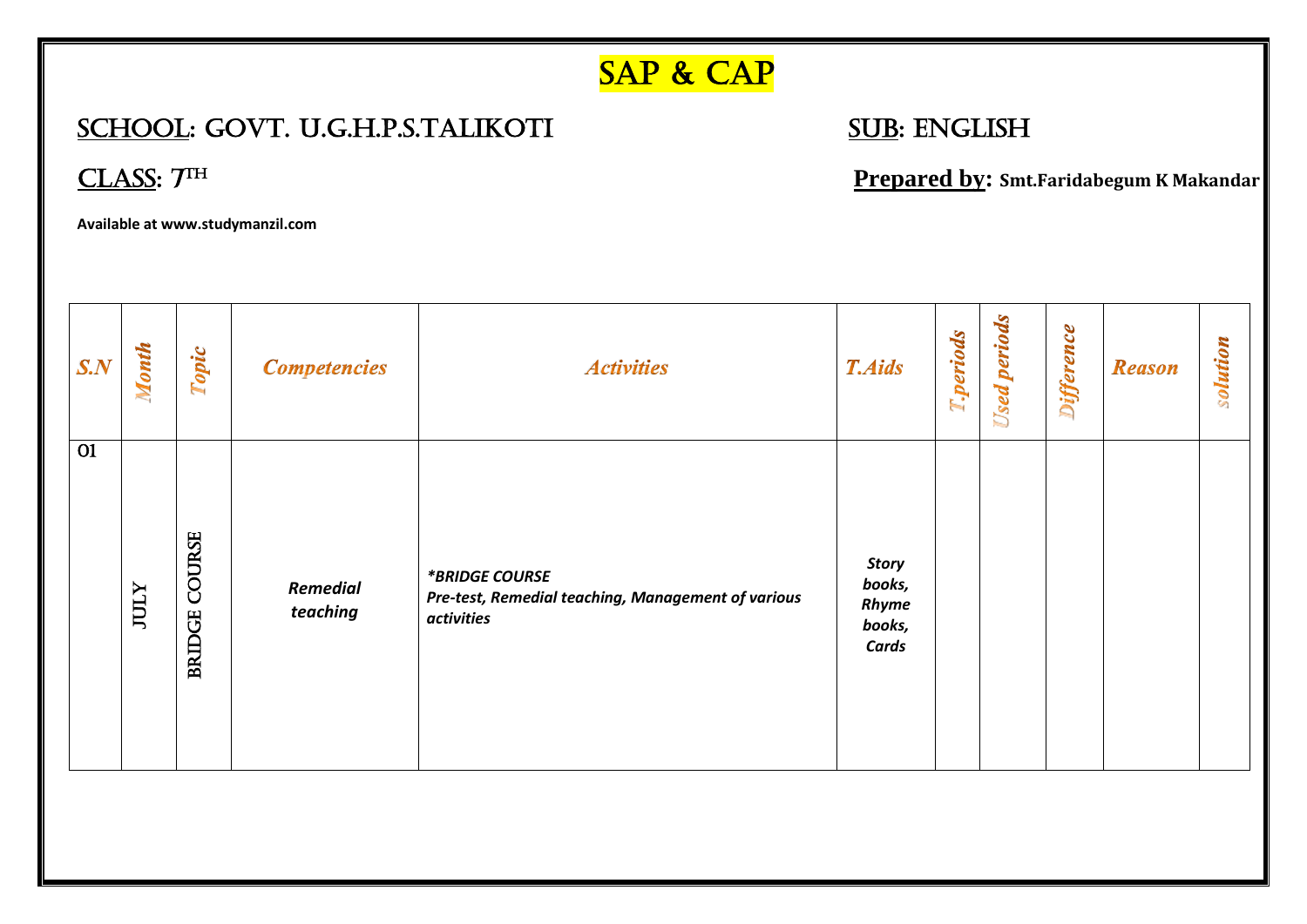## SAP & CAP

## SCHOOL: GOVT. U.G.H.P.S.TALIKOTI SUB: ENGLISH

CLASS:  $7<sup>TH</sup>$ 

 **Prepared by: Smt.Faridabegum K Makandar**

**Available at www.studymanzil.com**

| $S_{\cdot}N$    | Month       | Topic                          | <b>Competencies</b>         | <b>Activities</b>                                                                  | <b>T.Aids</b>                               | T.periods | periods<br><b>Used</b> | <b>Difference</b> | <b>Reason</b> | solution |
|-----------------|-------------|--------------------------------|-----------------------------|------------------------------------------------------------------------------------|---------------------------------------------|-----------|------------------------|-------------------|---------------|----------|
| $\overline{O1}$ | <b>JULY</b> | <b>COURSE</b><br><b>BRIDGE</b> | <b>Remedial</b><br>teaching | *BRIDGE COURSE<br>Pre-test, Remedial teaching, Management of various<br>activities | Story<br>books,<br>Rhyme<br>books,<br>Cards |           |                        |                   |               |          |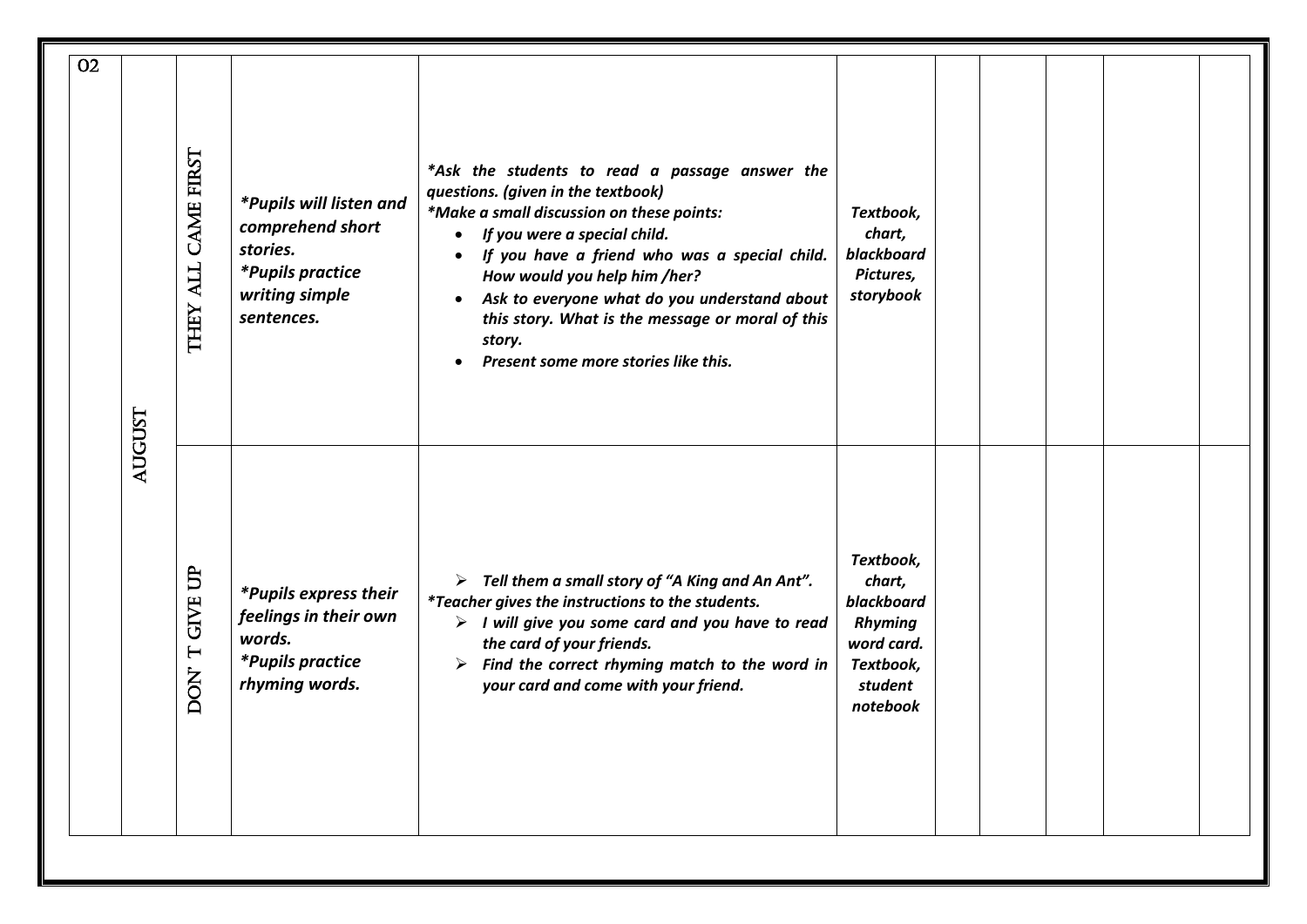| <b>O2</b> |        |                               |                                                                                                                    |                                                                                                                                                                                                                                                                                                                                                                                                                                                 |                                                                                                       |  |  |
|-----------|--------|-------------------------------|--------------------------------------------------------------------------------------------------------------------|-------------------------------------------------------------------------------------------------------------------------------------------------------------------------------------------------------------------------------------------------------------------------------------------------------------------------------------------------------------------------------------------------------------------------------------------------|-------------------------------------------------------------------------------------------------------|--|--|
|           |        | <b>CAME FIRST</b><br>THEY ALL | *Pupils will listen and<br>comprehend short<br>stories.<br><i>*Pupils practice</i><br>writing simple<br>sentences. | *Ask the students to read a passage answer the<br>questions. (given in the textbook)<br>*Make a small discussion on these points:<br>If you were a special child.<br>$\bullet$<br>If you have a friend who was a special child.<br>$\bullet$<br>How would you help him /her?<br>Ask to everyone what do you understand about<br>$\bullet$<br>this story. What is the message or moral of this<br>story.<br>Present some more stories like this. | Textbook,<br>chart,<br>blackboard<br>Pictures,<br>storybook                                           |  |  |
|           | AUGUST | <b>GIVE UP</b><br>DON'T       | *Pupils express their<br>feelings in their own<br>words.<br><i>*Pupils practice</i><br>rhyming words.              | $\triangleright$ Tell them a small story of "A King and An Ant".<br>*Teacher gives the instructions to the students.<br>$\triangleright$ I will give you some card and you have to read<br>the card of your friends.<br>$\triangleright$ Find the correct rhyming match to the word in<br>your card and come with your friend.                                                                                                                  | Textbook,<br>chart,<br>blackboard<br><b>Rhyming</b><br>word card.<br>Textbook,<br>student<br>notebook |  |  |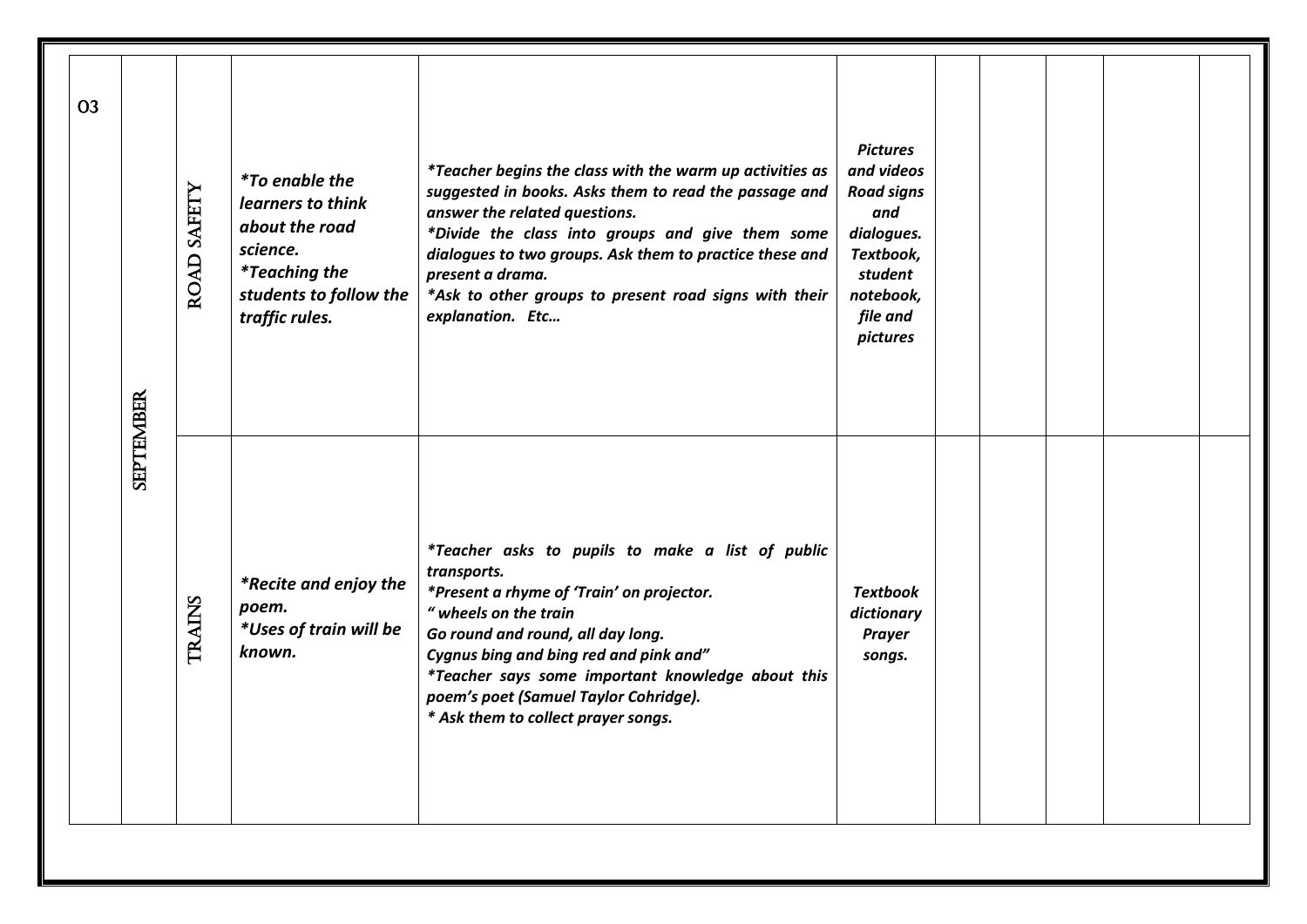| <b>O3</b> |                  | ROAD SAFETY   | <i>*To enable the</i><br>learners to think<br>about the road<br>science.<br><i>*Teaching the</i><br>students to follow the<br>traffic rules. | <i>*Teacher begins the class with the warm up activities as</i><br>suggested in books. Asks them to read the passage and<br>answer the related questions.<br>*Divide the class into groups and give them some<br>dialogues to two groups. Ask them to practice these and<br>present a drama.<br>*Ask to other groups to present road signs with their<br>explanation. Etc | <b>Pictures</b><br>and videos<br><b>Road signs</b><br>and<br>dialogues.<br>Textbook,<br>student<br>notebook,<br>file and<br>pictures |  |  |
|-----------|------------------|---------------|----------------------------------------------------------------------------------------------------------------------------------------------|---------------------------------------------------------------------------------------------------------------------------------------------------------------------------------------------------------------------------------------------------------------------------------------------------------------------------------------------------------------------------|--------------------------------------------------------------------------------------------------------------------------------------|--|--|
|           | <b>SEPTEMBER</b> | <b>TRAINS</b> | *Recite and enjoy the<br>poem.<br>*Uses of train will be<br>known.                                                                           | *Teacher asks to pupils to make a list of public<br>transports.<br>*Present a rhyme of 'Train' on projector.<br>" wheels on the train<br>Go round and round, all day long.<br>Cygnus bing and bing red and pink and"<br>*Teacher says some important knowledge about this<br>poem's poet (Samuel Taylor Cohridge).<br>* Ask them to collect prayer songs.                 | <b>Textbook</b><br>dictionary<br><b>Prayer</b><br>songs.                                                                             |  |  |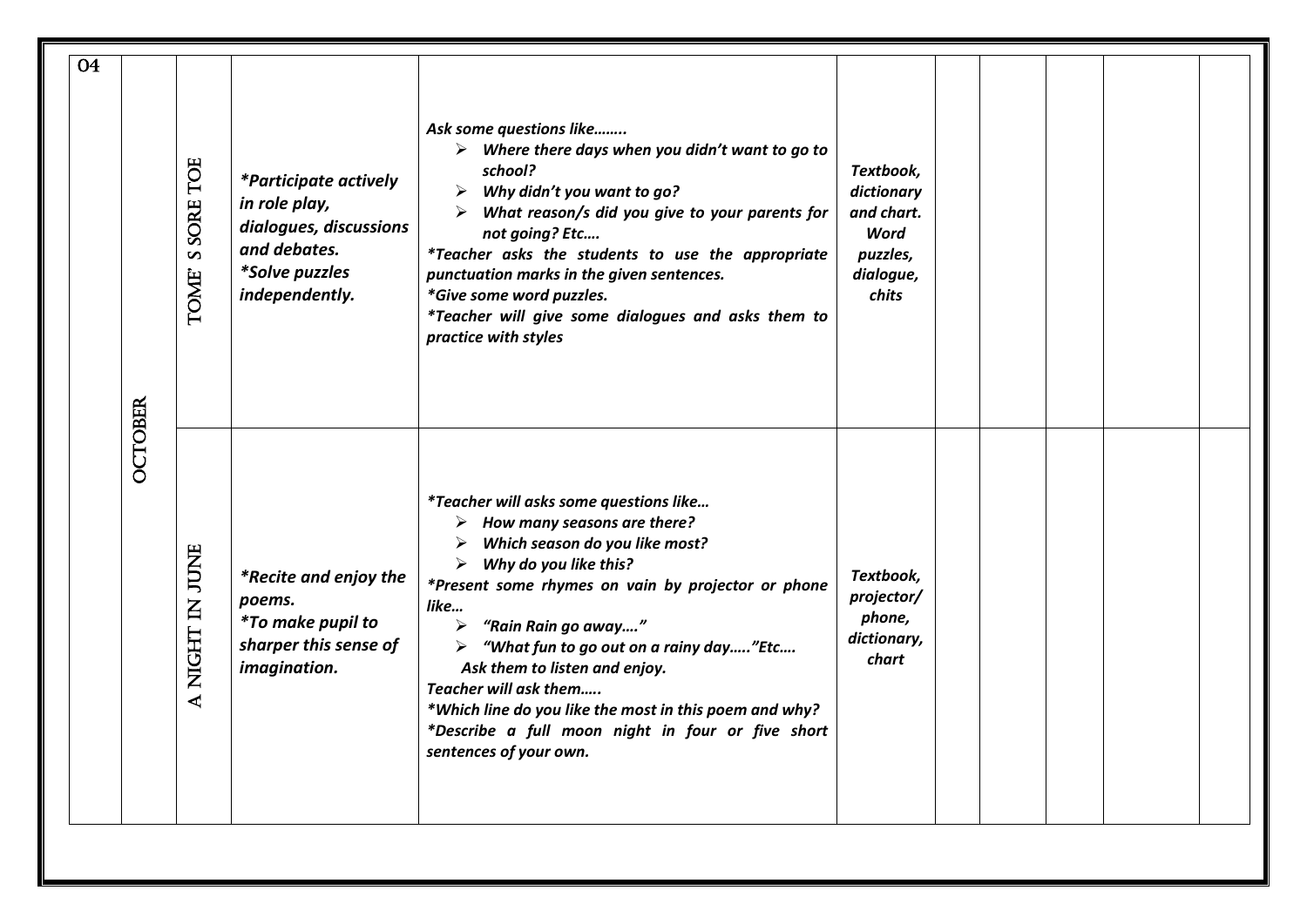|                                                                                                                                                                                                                                                                                                                                                                                                                                                                                                                                    | 04                                                                                                                                                                                                                                                                                                                                                                                                                              |
|------------------------------------------------------------------------------------------------------------------------------------------------------------------------------------------------------------------------------------------------------------------------------------------------------------------------------------------------------------------------------------------------------------------------------------------------------------------------------------------------------------------------------------|---------------------------------------------------------------------------------------------------------------------------------------------------------------------------------------------------------------------------------------------------------------------------------------------------------------------------------------------------------------------------------------------------------------------------------|
| <b>OCTOBER</b>                                                                                                                                                                                                                                                                                                                                                                                                                                                                                                                     |                                                                                                                                                                                                                                                                                                                                                                                                                                 |
| A NIGHT IN JUNE                                                                                                                                                                                                                                                                                                                                                                                                                                                                                                                    | <b>SSORE TOE</b><br>TOME'                                                                                                                                                                                                                                                                                                                                                                                                       |
| *Recite and enjoy the<br>poems.<br><i>*To make pupil to</i><br>sharper this sense of<br>imagination.                                                                                                                                                                                                                                                                                                                                                                                                                               | <i>*Participate actively</i><br>in role play,<br>dialogues, discussions<br>and debates.<br><i>*Solve puzzles</i><br>independently.                                                                                                                                                                                                                                                                                              |
| <i>*Teacher will asks some questions like</i><br>$\triangleright$ How many seasons are there?<br>Which season do you like most?<br>≻<br>≻<br>Why do you like this?<br>*Present some rhymes on vain by projector or phone<br>like<br>"Rain Rain go away"<br>$\blacktriangleright$<br>"What fun to go out on a rainy day"Etc<br>➤<br>Ask them to listen and enjoy.<br>Teacher will ask them<br>*Which line do you like the most in this poem and why?<br>*Describe a full moon night in four or five short<br>sentences of your own. | Ask some questions like<br>$\triangleright$ Where there days when you didn't want to go to<br>school?<br>Why didn't you want to go?<br>➤<br>What reason/s did you give to your parents for<br>not going? Etc<br><i>*Teacher asks the students to use the appropriate</i><br>punctuation marks in the given sentences.<br>*Give some word puzzles.<br>*Teacher will give some dialogues and asks them to<br>practice with styles |
| Textbook,<br>projector/<br>phone,<br>dictionary,<br>chart                                                                                                                                                                                                                                                                                                                                                                                                                                                                          | Textbook,<br>dictionary<br>and chart.<br>Word<br>puzzles,<br>dialogue,<br>chits                                                                                                                                                                                                                                                                                                                                                 |
|                                                                                                                                                                                                                                                                                                                                                                                                                                                                                                                                    |                                                                                                                                                                                                                                                                                                                                                                                                                                 |
|                                                                                                                                                                                                                                                                                                                                                                                                                                                                                                                                    |                                                                                                                                                                                                                                                                                                                                                                                                                                 |
|                                                                                                                                                                                                                                                                                                                                                                                                                                                                                                                                    |                                                                                                                                                                                                                                                                                                                                                                                                                                 |
|                                                                                                                                                                                                                                                                                                                                                                                                                                                                                                                                    |                                                                                                                                                                                                                                                                                                                                                                                                                                 |